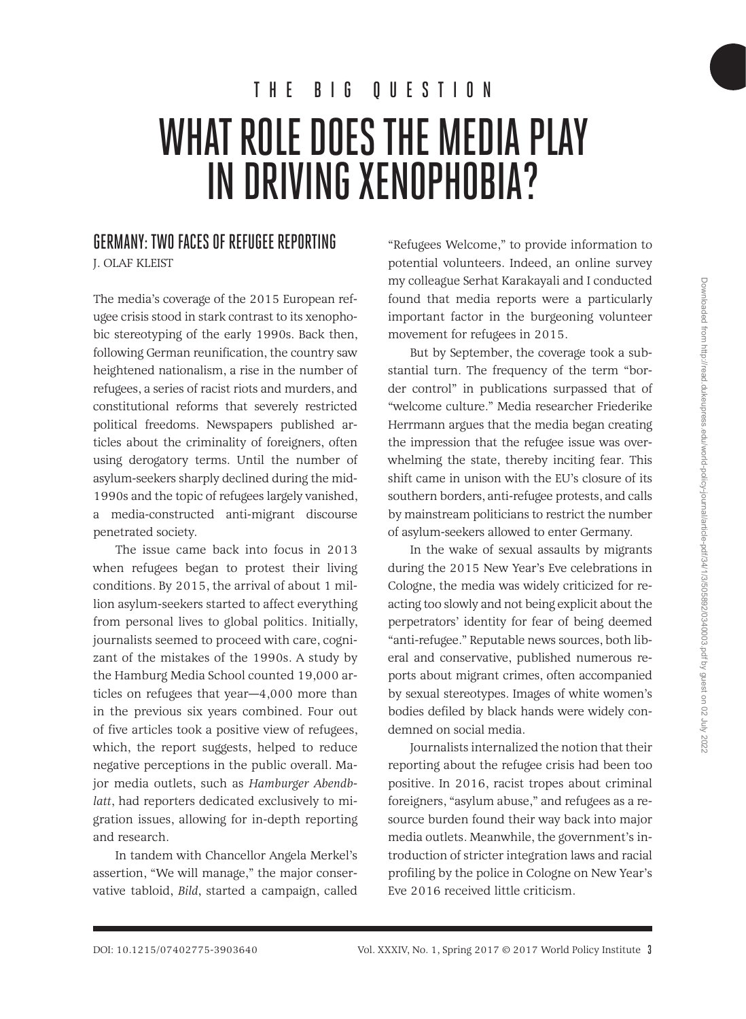# WHAT ROLE DOES THE MEDIA PLAY IN DRIVING XENOPHOBIA? THE BIG QUESTION

### GERMANY: TWO FACES OF REFUGEE REPORTING

J. OLAF KLEIST

The media's coverage of the 2015 European refugee crisis stood in stark contrast to its xenophobic stereotyping of the early 1990s. Back then, following German reunification, the country saw heightened nationalism, a rise in the number of refugees, a series of racist riots and murders, and constitutional reforms that severely restricted political freedoms. Newspapers published articles about the criminality of foreigners, often using derogatory terms. Until the number of asylum-seekers sharply declined during the mid-1990s and the topic of refugees largely vanished, a media-constructed anti-migrant discourse penetrated society.

The issue came back into focus in 2013 when refugees began to protest their living conditions. By 2015, the arrival of about 1 million asylum-seekers started to affect everything from personal lives to global politics. Initially, journalists seemed to proceed with care, cognizant of the mistakes of the 1990s. A study by the Hamburg Media School counted 19,000 articles on refugees that year—4,000 more than in the previous six years combined. Four out of five articles took a positive view of refugees, which, the report suggests, helped to reduce negative perceptions in the public overall. Major media outlets, such as *Hamburger Abendblatt*, had reporters dedicated exclusively to migration issues, allowing for in-depth reporting and research.

In tandem with Chancellor Angela Merkel's assertion, "We will manage," the major conservative tabloid, *Bild*, started a campaign, called "Refugees Welcome," to provide information to potential volunteers. Indeed, an online survey my colleague Serhat Karakayali and I conducted found that media reports were a particularly important factor in the burgeoning volunteer movement for refugees in 2015.

But by September, the coverage took a substantial turn. The frequency of the term "border control" in publications surpassed that of "welcome culture." Media researcher Friederike Herrmann argues that the media began creating the impression that the refugee issue was overwhelming the state, thereby inciting fear. This shift came in unison with the EU's closure of its southern borders, anti-refugee protests, and calls by mainstream politicians to restrict the number of asylum-seekers allowed to enter Germany.

In the wake of sexual assaults by migrants during the 2015 New Year's Eve celebrations in Cologne, the media was widely criticized for reacting too slowly and not being explicit about the perpetrators' identity for fear of being deemed "anti-refugee." Reputable news sources, both liberal and conservative, published numerous reports about migrant crimes, often accompanied by sexual stereotypes. Images of white women's bodies defiled by black hands were widely condemned on social media.

Journalists internalized the notion that their reporting about the refugee crisis had been too positive. In 2016, racist tropes about criminal foreigners, "asylum abuse," and refugees as a resource burden found their way back into major media outlets. Meanwhile, the government's introduction of stricter integration laws and racial profiling by the police in Cologne on New Year's Eve 2016 received little criticism.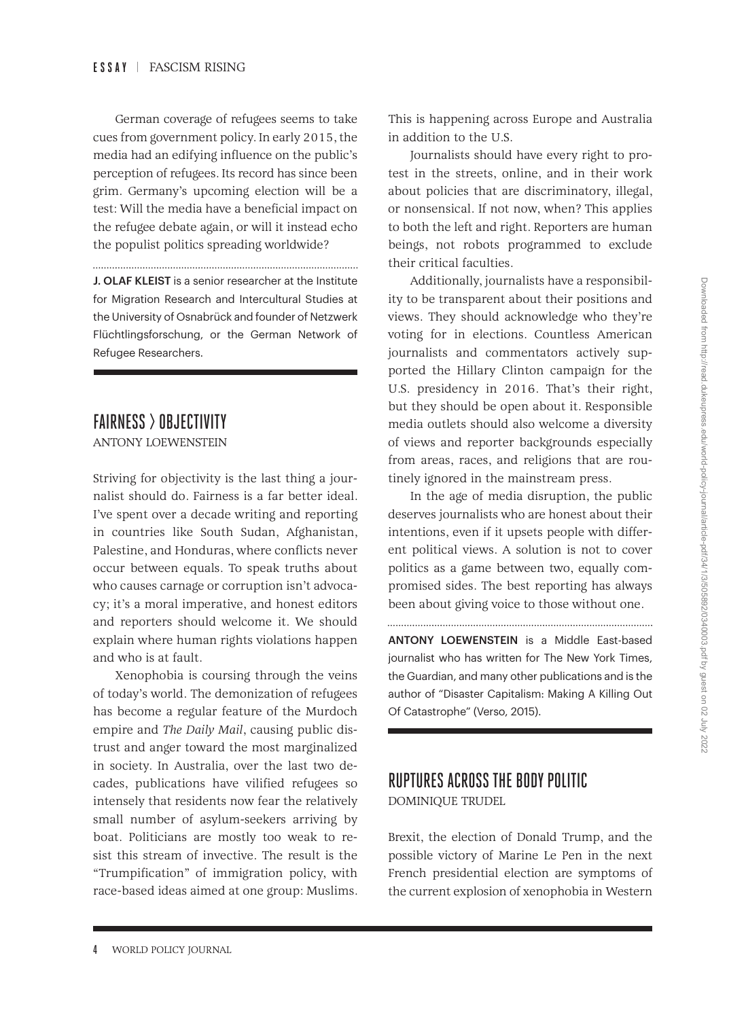German coverage of refugees seems to take cues from government policy. In early 2015, the media had an edifying influence on the public's perception of refugees. Its record has since been grim. Germany's upcoming election will be a test: Will the media have a beneficial impact on the refugee debate again, or will it instead echo the populist politics spreading worldwide?

J. OLAF KLEIST is a senior researcher at the Institute for Migration Research and Intercultural Studies at the University of Osnabrück and founder of Netzwerk Flüchtlingsforschung, or the German Network of Refugee Researchers.

## FAIRNESS > OBJECTIVITY

ANTONY LOEWENSTEIN

Striving for objectivity is the last thing a journalist should do. Fairness is a far better ideal. I've spent over a decade writing and reporting in countries like South Sudan, Afghanistan, Palestine, and Honduras, where conflicts never occur between equals. To speak truths about who causes carnage or corruption isn't advocacy; it's a moral imperative, and honest editors and reporters should welcome it. We should explain where human rights violations happen and who is at fault.

Xenophobia is coursing through the veins of today's world. The demonization of refugees has become a regular feature of the Murdoch empire and *The Daily Mail*, causing public distrust and anger toward the most marginalized in society. In Australia, over the last two decades, publications have vilified refugees so intensely that residents now fear the relatively small number of asylum-seekers arriving by boat. Politicians are mostly too weak to resist this stream of invective. The result is the "Trumpification" of immigration policy, with race-based ideas aimed at one group: Muslims. This is happening across Europe and Australia in addition to the U.S.

Journalists should have every right to protest in the streets, online, and in their work about policies that are discriminatory, illegal, or nonsensical. If not now, when? This applies to both the left and right. Reporters are human beings, not robots programmed to exclude their critical faculties.

Additionally, journalists have a responsibility to be transparent about their positions and views. They should acknowledge who they're voting for in elections. Countless American journalists and commentators actively supported the Hillary Clinton campaign for the U.S. presidency in 2016. That's their right, but they should be open about it. Responsible media outlets should also welcome a diversity of views and reporter backgrounds especially from areas, races, and religions that are routinely ignored in the mainstream press.

In the age of media disruption, the public deserves journalists who are honest about their intentions, even if it upsets people with different political views. A solution is not to cover politics as a game between two, equally compromised sides. The best reporting has always been about giving voice to those without one.

ANTONY LOEWENSTEIN is a Middle East-based journalist who has written for The New York Times, the Guardian, and many other publications and is the author of "Disaster Capitalism: Making A Killing Out Of Catastrophe" (Verso, 2015).

# RUPTURES ACROSS THE BODY POLITIC

DOMINIQUE TRUDEL

Brexit, the election of Donald Trump, and the possible victory of Marine Le Pen in the next French presidential election are symptoms of the current explosion of xenophobia in Western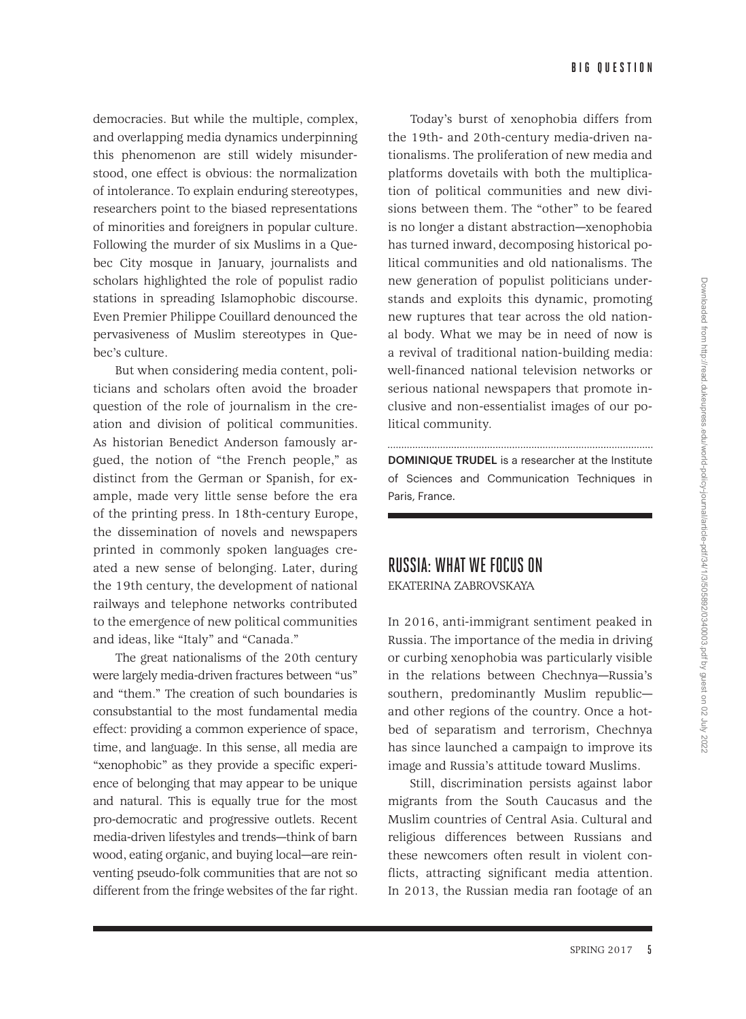democracies. But while the multiple, complex, and overlapping media dynamics underpinning this phenomenon are still widely misunderstood, one effect is obvious: the normalization of intolerance. To explain enduring stereotypes, researchers point to the biased representations of minorities and foreigners in popular culture. Following the murder of six Muslims in a Quebec City mosque in January, journalists and scholars highlighted the role of populist radio stations in spreading Islamophobic discourse. Even Premier Philippe Couillard denounced the pervasiveness of Muslim stereotypes in Quebec's culture.

But when considering media content, politicians and scholars often avoid the broader question of the role of journalism in the creation and division of political communities. As historian Benedict Anderson famously argued, the notion of "the French people," as distinct from the German or Spanish, for example, made very little sense before the era of the printing press. In 18th-century Europe, the dissemination of novels and newspapers printed in commonly spoken languages created a new sense of belonging. Later, during the 19th century, the development of national railways and telephone networks contributed to the emergence of new political communities and ideas, like "Italy" and "Canada."

The great nationalisms of the 20th century were largely media-driven fractures between "us" and "them." The creation of such boundaries is consubstantial to the most fundamental media effect: providing a common experience of space, time, and language. In this sense, all media are "xenophobic" as they provide a specific experience of belonging that may appear to be unique and natural. This is equally true for the most pro-democratic and progressive outlets. Recent media-driven lifestyles and trends—think of barn wood, eating organic, and buying local—are reinventing pseudo-folk communities that are not so different from the fringe websites of the far right.

Today's burst of xenophobia differs from the 19th- and 20th-century media-driven nationalisms. The proliferation of new media and platforms dovetails with both the multiplication of political communities and new divisions between them. The "other" to be feared is no longer a distant abstraction—xenophobia has turned inward, decomposing historical political communities and old nationalisms. The new generation of populist politicians understands and exploits this dynamic, promoting new ruptures that tear across the old national body. What we may be in need of now is a revival of traditional nation-building media: well-financed national television networks or serious national newspapers that promote inclusive and non-essentialist images of our political community.

DOMINIQUE TRUDEL is a researcher at the Institute of Sciences and Communication Techniques in Paris, France.

### RUSSIA: WHAT WE FOCUS ON

EKATERINA ZABROVSKAYA

In 2016, anti-immigrant sentiment peaked in Russia. The importance of the media in driving or curbing xenophobia was particularly visible in the relations between Chechnya—Russia's southern, predominantly Muslim republic and other regions of the country. Once a hotbed of separatism and terrorism, Chechnya has since launched a campaign to improve its image and Russia's attitude toward Muslims.

Still, discrimination persists against labor migrants from the South Caucasus and the Muslim countries of Central Asia. Cultural and religious differences between Russians and these newcomers often result in violent conflicts, attracting significant media attention. In 2013, the Russian media ran footage of an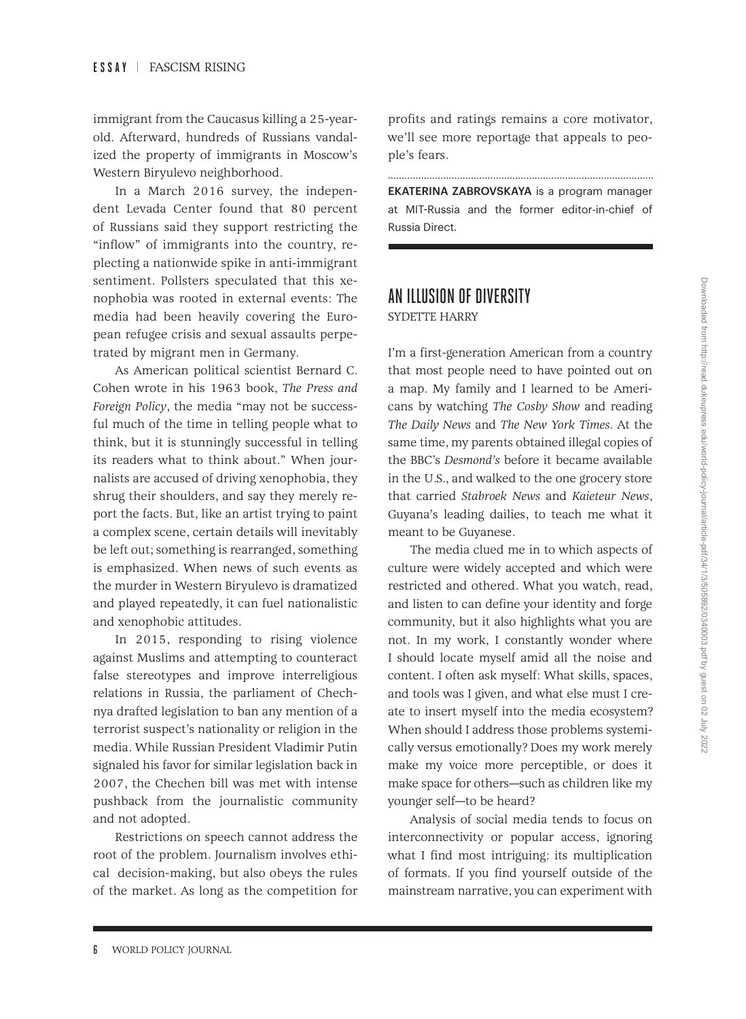immigrant from the Caucasus killing a 25-yearold. Afterward, hundreds of Russians vandalized the property of immigrants in Moscow's Western Biryulevo neighborhood.

In a March 2016 survey, the independent Levada Center found that 80 percent of Russians said they support restricting the "inflow" of immigrants into the country, replecting a nationwide spike in anti-immigrant sentiment. Pollsters speculated that this xenophobia was rooted in external events: The media had been heavily covering the European refugee crisis and sexual assaults perpetrated by migrant men in Germany.

As American political scientist Bernard C. Cohen wrote in his 1963 book, *The Press and Foreign Policy*, the media "may not be successful much of the time in telling people what to think, but it is stunningly successful in telling its readers what to think about." When journalists are accused of driving xenophobia, they shrug their shoulders, and say they merely report the facts. But, like an artist trying to paint a complex scene, certain details will inevitably be left out; something is rearranged, something is emphasized. When news of such events as the murder in Western Biryulevo is dramatized and played repeatedly, it can fuel nationalistic and xenophobic attitudes.

In 2015, responding to rising violence against Muslims and attempting to counteract false stereotypes and improve interreligious relations in Russia, the parliament of Chechnya drafted legislation to ban any mention of a terrorist suspect's nationality or religion in the media. While Russian President Vladimir Putin signaled his favor for similar legislation back in 2007, the Chechen bill was met with intense pushback from the journalistic community and not adopted.

Restrictions on speech cannot address the root of the problem. Journalism involves ethical decision-making, but also obeys the rules of the market. As long as the competition for profits and ratings remains a core motivator, we'll see more reportage that appeals to people's fears.

EKATERINA ZABROVSKAYA is a program manager at MIT-Russia and the former editor-in-chief of Russia Direct.

#### AN ILLUSION OF DIVERSITY SYDETTE HARRY

I'm a first-generation American from a country that most people need to have pointed out on a map. My family and I learned to be Americans by watching *The Cosby Show* and reading *The Daily News* and *The New York Times.* At the same time, my parents obtained illegal copies of the BBC's *Desmond's* before it became available in the U.S., and walked to the one grocery store that carried *Stabroek News* and *Kaieteur News*, Guyana's leading dailies, to teach me what it meant to be Guyanese.

The media clued me in to which aspects of culture were widely accepted and which were restricted and othered. What you watch, read, and listen to can define your identity and forge community, but it also highlights what you are not. In my work, I constantly wonder where I should locate myself amid all the noise and content. I often ask myself: What skills, spaces, and tools was I given, and what else must I create to insert myself into the media ecosystem? When should I address those problems systemically versus emotionally? Does my work merely make my voice more perceptible, or does it make space for others—such as children like my younger self—to be heard?

Analysis of social media tends to focus on interconnectivity or popular access, ignoring what I find most intriguing: its multiplication of formats. If you find yourself outside of the mainstream narrative, you can experiment with